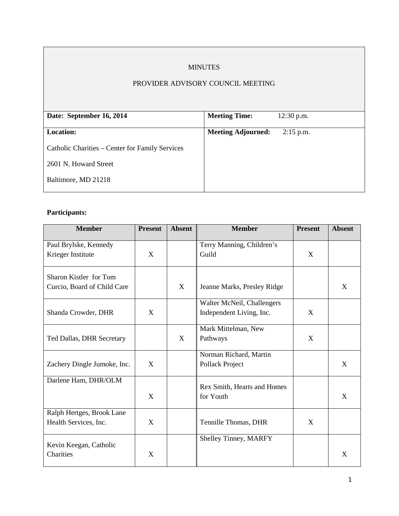# MINUTES

# PROVIDER ADVISORY COUNCIL MEETING

| Date: September 16, 2014                        | <b>Meeting Time:</b>      | $12:30$ p.m. |
|-------------------------------------------------|---------------------------|--------------|
|                                                 |                           |              |
| <b>Location:</b>                                | <b>Meeting Adjourned:</b> | $2:15$ p.m.  |
|                                                 |                           |              |
| Catholic Charities – Center for Family Services |                           |              |
|                                                 |                           |              |
| 2601 N. Howard Street                           |                           |              |
|                                                 |                           |              |
| Baltimore, MD 21218                             |                           |              |
|                                                 |                           |              |

# **Participants:**

| <b>Member</b>                                         | <b>Present</b> | <b>Absent</b> | <b>Member</b>                                          | <b>Present</b> | <b>Absent</b> |
|-------------------------------------------------------|----------------|---------------|--------------------------------------------------------|----------------|---------------|
| Paul Brylske, Kennedy<br>Krieger Institute            | X              |               | Terry Manning, Children's<br>Guild                     | X              |               |
| Sharon Kistler for Tom<br>Curcio, Board of Child Care |                | X             | Jeanne Marks, Presley Ridge                            |                | X             |
| Shanda Crowder, DHR                                   | X              |               | Walter McNeil, Challengers<br>Independent Living, Inc. | X              |               |
| Ted Dallas, DHR Secretary                             |                | X             | Mark Mittelman, New<br>Pathways                        | X              |               |
| Zachery Dingle Jumoke, Inc.                           | X              |               | Norman Richard, Martin<br>Pollack Project              |                | X             |
| Darlene Ham, DHR/OLM                                  | X              |               | Rex Smith, Hearts and Homes<br>for Youth               |                | X             |
| Ralph Hertges, Brook Lane<br>Health Services, Inc.    | X              |               | Tennille Thomas, DHR                                   | X              |               |
| Kevin Keegan, Catholic<br>Charities                   | X              |               | Shelley Tinney, MARFY                                  |                | X             |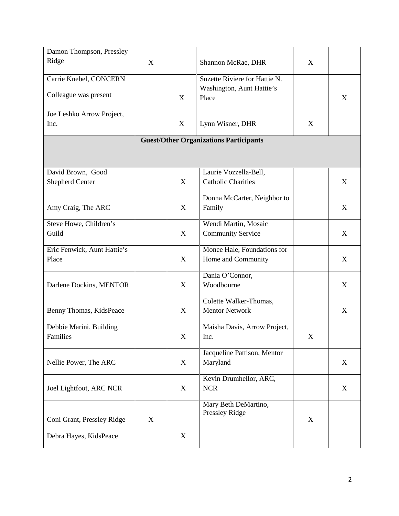| Damon Thompson, Pressley                    |   |             |                                                            |   |   |
|---------------------------------------------|---|-------------|------------------------------------------------------------|---|---|
| Ridge                                       | X |             | Shannon McRae, DHR                                         | X |   |
|                                             |   |             |                                                            |   |   |
| Carrie Knebel, CONCERN                      |   |             | Suzette Riviere for Hattie N.<br>Washington, Aunt Hattie's |   |   |
| Colleague was present                       |   | X           | Place                                                      |   | X |
|                                             |   |             |                                                            |   |   |
| Joe Leshko Arrow Project,                   |   |             |                                                            |   |   |
| Inc.                                        |   | X           | Lynn Wisner, DHR                                           | X |   |
|                                             |   |             | <b>Guest/Other Organizations Participants</b>              |   |   |
|                                             |   |             |                                                            |   |   |
|                                             |   |             |                                                            |   |   |
|                                             |   |             | Laurie Vozzella-Bell,                                      |   |   |
| David Brown, Good<br><b>Shepherd Center</b> |   | X           | <b>Catholic Charities</b>                                  |   | X |
|                                             |   |             |                                                            |   |   |
|                                             |   |             | Donna McCarter, Neighbor to                                |   |   |
| Amy Craig, The ARC                          |   | X           | Family                                                     |   | X |
| Steve Howe, Children's                      |   |             | Wendi Martin, Mosaic                                       |   |   |
| Guild                                       |   | $\mathbf X$ | <b>Community Service</b>                                   |   | X |
|                                             |   |             |                                                            |   |   |
| Eric Fenwick, Aunt Hattie's                 |   |             | Monee Hale, Foundations for                                |   |   |
| Place                                       |   | X           | Home and Community                                         |   | X |
|                                             |   |             |                                                            |   |   |
| Darlene Dockins, MENTOR                     |   | X           | Dania O'Connor,<br>Woodbourne                              |   | X |
|                                             |   |             |                                                            |   |   |
|                                             |   |             | Colette Walker-Thomas,                                     |   |   |
| Benny Thomas, KidsPeace                     |   | X           | <b>Mentor Network</b>                                      |   | X |
|                                             |   |             |                                                            |   |   |
| Debbie Marini, Building<br><b>Families</b>  |   | X           | Maisha Davis, Arrow Project,<br>Inc.                       | X |   |
|                                             |   |             |                                                            |   |   |
|                                             |   |             | Jacqueline Pattison, Mentor                                |   |   |
| Nellie Power, The ARC                       |   | X           | Maryland                                                   |   | X |
|                                             |   |             |                                                            |   |   |
|                                             |   |             | Kevin Drumhellor, ARC,<br>$NCR$                            |   |   |
| Joel Lightfoot, ARC NCR                     |   | X           |                                                            |   | X |
|                                             |   |             | Mary Beth DeMartino,                                       |   |   |
|                                             |   |             | Pressley Ridge                                             |   |   |
| Coni Grant, Pressley Ridge                  | X |             |                                                            | X |   |
| Debra Hayes, KidsPeace                      |   | $\mathbf X$ |                                                            |   |   |
|                                             |   |             |                                                            |   |   |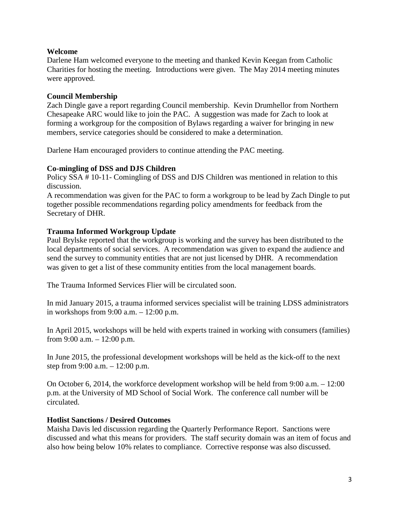#### **Welcome**

Darlene Ham welcomed everyone to the meeting and thanked Kevin Keegan from Catholic Charities for hosting the meeting. Introductions were given. The May 2014 meeting minutes were approved.

### **Council Membership**

Zach Dingle gave a report regarding Council membership. Kevin Drumhellor from Northern Chesapeake ARC would like to join the PAC. A suggestion was made for Zach to look at forming a workgroup for the composition of Bylaws regarding a waiver for bringing in new members, service categories should be considered to make a determination.

Darlene Ham encouraged providers to continue attending the PAC meeting.

#### **Co-mingling of DSS and DJS Children**

Policy SSA # 10-11- Comingling of DSS and DJS Children was mentioned in relation to this discussion.

A recommendation was given for the PAC to form a workgroup to be lead by Zach Dingle to put together possible recommendations regarding policy amendments for feedback from the Secretary of DHR.

## **Trauma Informed Workgroup Update**

Paul Brylske reported that the workgroup is working and the survey has been distributed to the local departments of social services. A recommendation was given to expand the audience and send the survey to community entities that are not just licensed by DHR. A recommendation was given to get a list of these community entities from the local management boards.

The Trauma Informed Services Flier will be circulated soon.

In mid January 2015, a trauma informed services specialist will be training LDSS administrators in workshops from 9:00 a.m. – 12:00 p.m.

In April 2015, workshops will be held with experts trained in working with consumers (families) from 9:00 a.m. – 12:00 p.m.

In June 2015, the professional development workshops will be held as the kick-off to the next step from 9:00 a.m. – 12:00 p.m.

On October 6, 2014, the workforce development workshop will be held from 9:00 a.m. – 12:00 p.m. at the University of MD School of Social Work. The conference call number will be circulated.

#### **Hotlist Sanctions / Desired Outcomes**

Maisha Davis led discussion regarding the Quarterly Performance Report. Sanctions were discussed and what this means for providers. The staff security domain was an item of focus and also how being below 10% relates to compliance. Corrective response was also discussed.